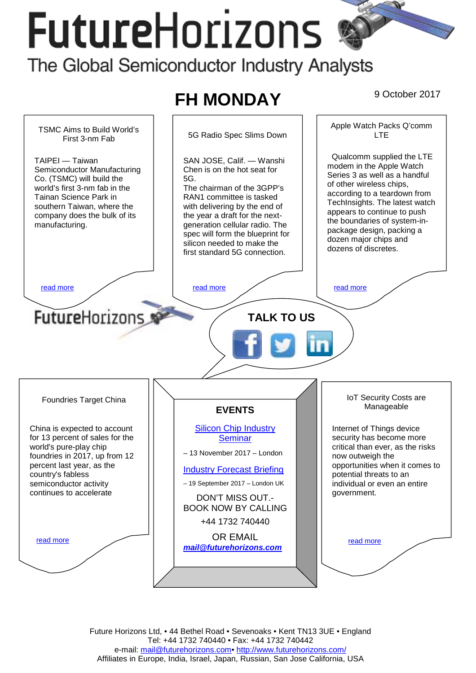# **FutureHorizons**



Future Horizons Ltd, • 44 Bethel Road • Sevenoaks • Kent TN13 3UE • England Tel: +44 1732 740440 • Fax: +44 1732 740442 e-mail: mail@futurehorizons.com• http://www.futurehorizons.com/ Affiliates in Europe, India, Israel, Japan, Russian, San Jose California, USA